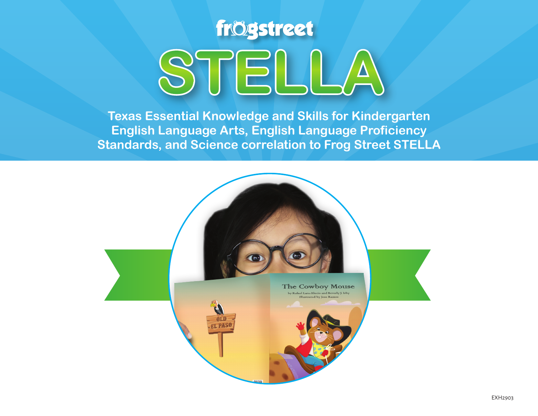

**Texas Essential Knowledge and Skills for Kindergarten English Language Arts, English Language Proficiency Standards, and Science correlation to Frog Street STELLA**

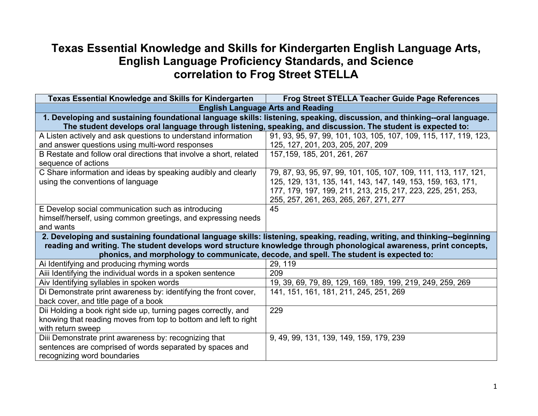## **Texas Essential Knowledge and Skills for Kindergarten English Language Arts, English Language Proficiency Standards, and Science correlation to Frog Street STELLA**

| <b>Texas Essential Knowledge and Skills for Kindergarten</b>                                                | <b>Frog Street STELLA Teacher Guide Page References</b>                                                                   |
|-------------------------------------------------------------------------------------------------------------|---------------------------------------------------------------------------------------------------------------------------|
|                                                                                                             | <b>English Language Arts and Reading</b>                                                                                  |
|                                                                                                             | 1. Developing and sustaining foundational language skills: listening, speaking, discussion, and thinking--oral language.  |
| The student develops oral language through listening, speaking, and discussion. The student is expected to: |                                                                                                                           |
| A Listen actively and ask questions to understand information                                               | 91, 93, 95, 97, 99, 101, 103, 105, 107, 109, 115, 117, 119, 123,                                                          |
| and answer questions using multi-word responses                                                             | 125, 127, 201, 203, 205, 207, 209                                                                                         |
| B Restate and follow oral directions that involve a short, related                                          | 157, 159, 185, 201, 261, 267                                                                                              |
| sequence of actions                                                                                         |                                                                                                                           |
| C Share information and ideas by speaking audibly and clearly                                               | 79, 87, 93, 95, 97, 99, 101, 105, 107, 109, 111, 113, 117, 121,                                                           |
| using the conventions of language                                                                           | 125, 129, 131, 135, 141, 143, 147, 149, 153, 159, 163, 171,                                                               |
|                                                                                                             | 177, 179, 197, 199, 211, 213, 215, 217, 223, 225, 251, 253,                                                               |
|                                                                                                             | 255, 257, 261, 263, 265, 267, 271, 277                                                                                    |
| E Develop social communication such as introducing                                                          | 45                                                                                                                        |
| himself/herself, using common greetings, and expressing needs                                               |                                                                                                                           |
| and wants                                                                                                   |                                                                                                                           |
|                                                                                                             | 2. Developing and sustaining foundational language skills: listening, speaking, reading, writing, and thinking--beginning |
|                                                                                                             | reading and writing. The student develops word structure knowledge through phonological awareness, print concepts,        |
|                                                                                                             | phonics, and morphology to communicate, decode, and spell. The student is expected to:                                    |
| Ai Identifying and producing rhyming words                                                                  | 29, 119                                                                                                                   |
| Aiii Identifying the individual words in a spoken sentence                                                  | 209                                                                                                                       |
| Aiv Identifying syllables in spoken words                                                                   | 19, 39, 69, 79, 89, 129, 169, 189, 199, 219, 249, 259, 269                                                                |
| Di Demonstrate print awareness by: identifying the front cover,                                             | 141, 151, 161, 181, 211, 245, 251, 269                                                                                    |
| back cover, and title page of a book                                                                        |                                                                                                                           |
| Dii Holding a book right side up, turning pages correctly, and                                              | 229                                                                                                                       |
| knowing that reading moves from top to bottom and left to right                                             |                                                                                                                           |
| with return sweep                                                                                           |                                                                                                                           |
| Diii Demonstrate print awareness by: recognizing that                                                       | 9, 49, 99, 131, 139, 149, 159, 179, 239                                                                                   |
| sentences are comprised of words separated by spaces and                                                    |                                                                                                                           |
| recognizing word boundaries                                                                                 |                                                                                                                           |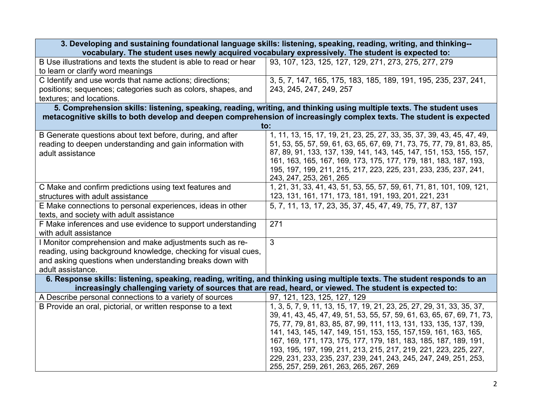| 3. Developing and sustaining foundational language skills: listening, speaking, reading, writing, and thinking--<br>vocabulary. The student uses newly acquired vocabulary expressively. The student is expected to:                                           |                                                                                                                                                                                                                                                                                                                                                                                                                                                                                                                                                                                  |
|----------------------------------------------------------------------------------------------------------------------------------------------------------------------------------------------------------------------------------------------------------------|----------------------------------------------------------------------------------------------------------------------------------------------------------------------------------------------------------------------------------------------------------------------------------------------------------------------------------------------------------------------------------------------------------------------------------------------------------------------------------------------------------------------------------------------------------------------------------|
| B Use illustrations and texts the student is able to read or hear<br>to learn or clarify word meanings                                                                                                                                                         | 93, 107, 123, 125, 127, 129, 271, 273, 275, 277, 279                                                                                                                                                                                                                                                                                                                                                                                                                                                                                                                             |
| C Identify and use words that name actions; directions;<br>positions; sequences; categories such as colors, shapes, and<br>textures; and locations.                                                                                                            | 3, 5, 7, 147, 165, 175, 183, 185, 189, 191, 195, 235, 237, 241,<br>243, 245, 247, 249, 257                                                                                                                                                                                                                                                                                                                                                                                                                                                                                       |
| 5. Comprehension skills: listening, speaking, reading, writing, and thinking using multiple texts. The student uses<br>metacognitive skills to both develop and deepen comprehension of increasingly complex texts. The student is expected<br>$\mathsf{to}$ : |                                                                                                                                                                                                                                                                                                                                                                                                                                                                                                                                                                                  |
| B Generate questions about text before, during, and after<br>reading to deepen understanding and gain information with<br>adult assistance                                                                                                                     | 1, 11, 13, 15, 17, 19, 21, 23, 25, 27, 33, 35, 37, 39, 43, 45, 47, 49,<br>51, 53, 55, 57, 59, 61, 63, 65, 67, 69, 71, 73, 75, 77, 79, 81, 83, 85,<br>87, 89, 91, 133, 137, 139, 141, 143, 145, 147, 151, 153, 155, 157,<br>161, 163, 165, 167, 169, 173, 175, 177, 179, 181, 183, 187, 193,<br>195, 197, 199, 211, 215, 217, 223, 225, 231, 233, 235, 237, 241,<br>243, 247, 253, 261, 265                                                                                                                                                                                       |
| C Make and confirm predictions using text features and<br>structures with adult assistance                                                                                                                                                                     | 1, 21, 31, 33, 41, 43, 51, 53, 55, 57, 59, 61, 71, 81, 101, 109, 121,<br>123, 131, 161, 171, 173, 181, 191, 193, 201, 221, 231                                                                                                                                                                                                                                                                                                                                                                                                                                                   |
| E Make connections to personal experiences, ideas in other<br>texts, and society with adult assistance                                                                                                                                                         | 5, 7, 11, 13, 17, 23, 35, 37, 45, 47, 49, 75, 77, 87, 137                                                                                                                                                                                                                                                                                                                                                                                                                                                                                                                        |
| F Make inferences and use evidence to support understanding<br>with adult assistance                                                                                                                                                                           | 271                                                                                                                                                                                                                                                                                                                                                                                                                                                                                                                                                                              |
| I Monitor comprehension and make adjustments such as re-<br>reading, using background knowledge, checking for visual cues,<br>and asking questions when understanding breaks down with<br>adult assistance.                                                    | 3                                                                                                                                                                                                                                                                                                                                                                                                                                                                                                                                                                                |
| 6. Response skills: listening, speaking, reading, writing, and thinking using multiple texts. The student responds to an<br>increasingly challenging variety of sources that are read, heard, or viewed. The student is expected to:                           |                                                                                                                                                                                                                                                                                                                                                                                                                                                                                                                                                                                  |
| A Describe personal connections to a variety of sources<br>B Provide an oral, pictorial, or written response to a text                                                                                                                                         | 97, 121, 123, 125, 127, 129<br>1, 3, 5, 7, 9, 11, 13, 15, 17, 19, 21, 23, 25, 27, 29, 31, 33, 35, 37,<br>39, 41, 43, 45, 47, 49, 51, 53, 55, 57, 59, 61, 63, 65, 67, 69, 71, 73,<br>75, 77, 79, 81, 83, 85, 87, 99, 111, 113, 131, 133, 135, 137, 139,<br>141, 143, 145, 147, 149, 151, 153, 155, 157, 159, 161, 163, 165,<br>167, 169, 171, 173, 175, 177, 179, 181, 183, 185, 187, 189, 191,<br>193, 195, 197, 199, 211, 213, 215, 217, 219, 221, 223, 225, 227,<br>229, 231, 233, 235, 237, 239, 241, 243, 245, 247, 249, 251, 253,<br>255, 257, 259, 261, 263, 265, 267, 269 |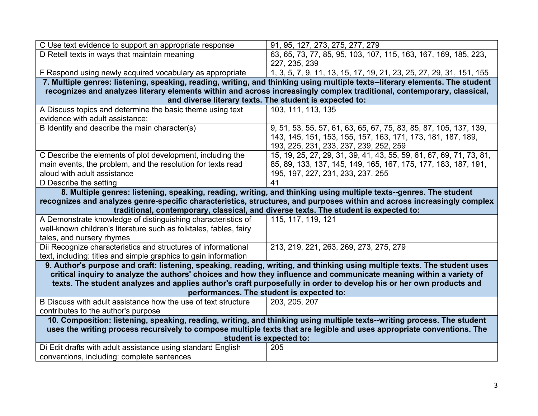| 91, 95, 127, 273, 275, 277, 279                                                                                                                                                                                                                  |  |
|--------------------------------------------------------------------------------------------------------------------------------------------------------------------------------------------------------------------------------------------------|--|
| 63, 65, 73, 77, 85, 95, 103, 107, 115, 163, 167, 169, 185, 223,<br>227, 235, 239                                                                                                                                                                 |  |
| 1, 3, 5, 7, 9, 11, 13, 15, 17, 19, 21, 23, 25, 27, 29, 31, 151, 155                                                                                                                                                                              |  |
| 7. Multiple genres: listening, speaking, reading, writing, and thinking using multiple texts--literary elements. The student                                                                                                                     |  |
| recognizes and analyzes literary elements within and across increasingly complex traditional, contemporary, classical,                                                                                                                           |  |
| and diverse literary texts. The student is expected to:                                                                                                                                                                                          |  |
| 103, 111, 113, 135                                                                                                                                                                                                                               |  |
| 9, 51, 53, 55, 57, 61, 63, 65, 67, 75, 83, 85, 87, 105, 137, 139,<br>143, 145, 151, 153, 155, 157, 163, 171, 173, 181, 187, 189,<br>193, 225, 231, 233, 237, 239, 252, 259                                                                       |  |
| 15, 19, 25, 27, 29, 31, 39, 41, 43, 55, 59, 61, 67, 69, 71, 73, 81,<br>85, 89, 133, 137, 145, 149, 165, 167, 175, 177, 183, 187, 191,<br>195, 197, 227, 231, 233, 237, 255                                                                       |  |
| 41                                                                                                                                                                                                                                               |  |
| 8. Multiple genres: listening, speaking, reading, writing, and thinking using multiple texts-genres. The student                                                                                                                                 |  |
| recognizes and analyzes genre-specific characteristics, structures, and purposes within and across increasingly complex                                                                                                                          |  |
| traditional, contemporary, classical, and diverse texts. The student is expected to:                                                                                                                                                             |  |
| 115, 117, 119, 121                                                                                                                                                                                                                               |  |
|                                                                                                                                                                                                                                                  |  |
|                                                                                                                                                                                                                                                  |  |
| 213, 219, 221, 263, 269, 273, 275, 279                                                                                                                                                                                                           |  |
|                                                                                                                                                                                                                                                  |  |
| 9. Author's purpose and craft: listening, speaking, reading, writing, and thinking using multiple texts. The student uses                                                                                                                        |  |
| critical inquiry to analyze the authors' choices and how they influence and communicate meaning within a variety of                                                                                                                              |  |
| texts. The student analyzes and applies author's craft purposefully in order to develop his or her own products and                                                                                                                              |  |
| performances. The student is expected to:<br>203, 205, 207                                                                                                                                                                                       |  |
|                                                                                                                                                                                                                                                  |  |
|                                                                                                                                                                                                                                                  |  |
| 10. Composition: listening, speaking, reading, writing, and thinking using multiple texts--writing process. The student<br>uses the writing process recursively to compose multiple texts that are legible and uses appropriate conventions. The |  |
| student is expected to:                                                                                                                                                                                                                          |  |
| 205                                                                                                                                                                                                                                              |  |
|                                                                                                                                                                                                                                                  |  |
|                                                                                                                                                                                                                                                  |  |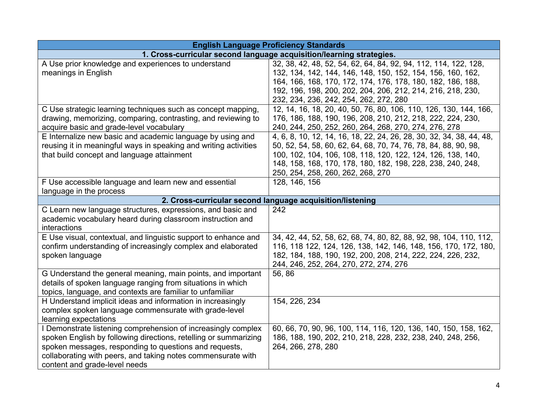| <b>English Language Proficiency Standards</b>                                  |                                                                      |
|--------------------------------------------------------------------------------|----------------------------------------------------------------------|
|                                                                                | 1. Cross-curricular second language acquisition/learning strategies. |
| A Use prior knowledge and experiences to understand                            | 32, 38, 42, 48, 52, 54, 62, 64, 84, 92, 94, 112, 114, 122, 128,      |
| meanings in English                                                            | 132, 134, 142, 144, 146, 148, 150, 152, 154, 156, 160, 162,          |
|                                                                                | 164, 166, 168, 170, 172, 174, 176, 178, 180, 182, 186, 188,          |
|                                                                                | 192, 196, 198, 200, 202, 204, 206, 212, 214, 216, 218, 230,          |
|                                                                                | 232, 234, 236, 242, 254, 262, 272, 280                               |
| C Use strategic learning techniques such as concept mapping,                   | 12, 14, 16, 18, 20, 40, 50, 76, 80, 106, 110, 126, 130, 144, 166,    |
| drawing, memorizing, comparing, contrasting, and reviewing to                  | 176, 186, 188, 190, 196, 208, 210, 212, 218, 222, 224, 230,          |
| acquire basic and grade-level vocabulary                                       | 240, 244, 250, 252, 260, 264, 268, 270, 274, 276, 278                |
| E Internalize new basic and academic language by using and                     | 4, 6, 8, 10, 12, 14, 16, 18, 22, 24, 26, 28, 30, 32, 34, 38, 44, 48, |
| reusing it in meaningful ways in speaking and writing activities               | 50, 52, 54, 58, 60, 62, 64, 68, 70, 74, 76, 78, 84, 88, 90, 98,      |
| that build concept and language attainment                                     | 100, 102, 104, 106, 108, 118, 120, 122, 124, 126, 138, 140,          |
|                                                                                | 148, 158, 168, 170, 178, 180, 182, 198, 228, 238, 240, 248,          |
|                                                                                | 250, 254, 258, 260, 262, 268, 270                                    |
| F Use accessible language and learn new and essential                          | 128, 146, 156                                                        |
| language in the process                                                        |                                                                      |
|                                                                                | 2. Cross-curricular second language acquisition/listening            |
| C Learn new language structures, expressions, and basic and                    | 242                                                                  |
| academic vocabulary heard during classroom instruction and                     |                                                                      |
| interactions                                                                   |                                                                      |
| E Use visual, contextual, and linguistic support to enhance and                | 34, 42, 44, 52, 58, 62, 68, 74, 80, 82, 88, 92, 98, 104, 110, 112,   |
| confirm understanding of increasingly complex and elaborated                   | 116, 118 122, 124, 126, 138, 142, 146, 148, 156, 170, 172, 180,      |
| spoken language                                                                | 182, 184, 188, 190, 192, 200, 208, 214, 222, 224, 226, 232,          |
|                                                                                | 244, 246, 252, 264, 270, 272, 274, 276                               |
| G Understand the general meaning, main points, and important                   | 56,86                                                                |
| details of spoken language ranging from situations in which                    |                                                                      |
| topics, language, and contexts are familiar to unfamiliar                      |                                                                      |
| H Understand implicit ideas and information in increasingly                    | 154, 226, 234                                                        |
| complex spoken language commensurate with grade-level<br>learning expectations |                                                                      |
| I Demonstrate listening comprehension of increasingly complex                  | 60, 66, 70, 90, 96, 100, 114, 116, 120, 136, 140, 150, 158, 162,     |
| spoken English by following directions, retelling or summarizing               | 186, 188, 190, 202, 210, 218, 228, 232, 238, 240, 248, 256,          |
| spoken messages, responding to questions and requests,                         | 264, 266, 278, 280                                                   |
| collaborating with peers, and taking notes commensurate with                   |                                                                      |
| content and grade-level needs                                                  |                                                                      |
|                                                                                |                                                                      |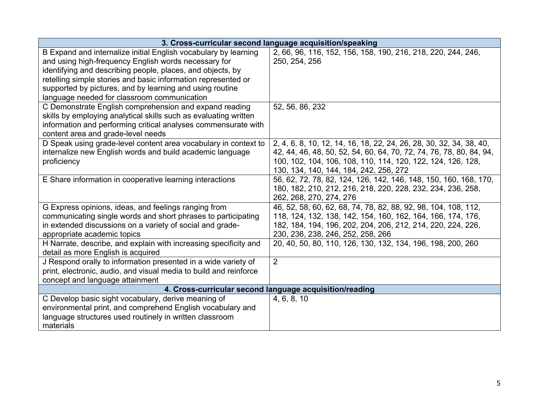| 3. Cross-curricular second language acquisition/speaking          |                                                                     |
|-------------------------------------------------------------------|---------------------------------------------------------------------|
| B Expand and internalize initial English vocabulary by learning   | 2, 66, 96, 116, 152, 156, 158, 190, 216, 218, 220, 244, 246,        |
| and using high-frequency English words necessary for              | 250, 254, 256                                                       |
| identifying and describing people, places, and objects, by        |                                                                     |
| retelling simple stories and basic information represented or     |                                                                     |
| supported by pictures, and by learning and using routine          |                                                                     |
| language needed for classroom communication                       |                                                                     |
| C Demonstrate English comprehension and expand reading            | 52, 56, 86, 232                                                     |
| skills by employing analytical skills such as evaluating written  |                                                                     |
| information and performing critical analyses commensurate with    |                                                                     |
| content area and grade-level needs                                |                                                                     |
| D Speak using grade-level content area vocabulary in context to   | 2, 4, 6, 8, 10, 12, 14, 16, 18, 22, 24, 26, 28, 30, 32, 34, 38, 40, |
| internalize new English words and build academic language         | 42, 44, 46, 48, 50, 52, 54, 60, 64, 70, 72, 74, 76, 78, 80, 84, 94, |
| proficiency                                                       | 100, 102, 104, 106, 108, 110, 114, 120, 122, 124, 126, 128,         |
|                                                                   | 130, 134, 140, 144, 184, 242, 256, 272                              |
| E Share information in cooperative learning interactions          | 56, 62, 72, 78, 82, 124, 126, 142, 146, 148, 150, 160, 168, 170,    |
|                                                                   | 180, 182, 210, 212, 216, 218, 220, 228, 232, 234, 236, 258,         |
|                                                                   | 262, 268, 270, 274, 276                                             |
| G Express opinions, ideas, and feelings ranging from              | 46, 52, 58, 60, 62, 68, 74, 78, 82, 88, 92, 98, 104, 108, 112,      |
| communicating single words and short phrases to participating     | 118, 124, 132, 138, 142, 154, 160, 162, 164, 166, 174, 176,         |
| in extended discussions on a variety of social and grade-         | 182, 184, 194, 196, 202, 204, 206, 212, 214, 220, 224, 226,         |
| appropriate academic topics                                       | 230, 236, 238, 246, 252, 258, 266                                   |
| H Narrate, describe, and explain with increasing specificity and  | 20, 40, 50, 80, 110, 126, 130, 132, 134, 196, 198, 200, 260         |
| detail as more English is acquired                                |                                                                     |
| J Respond orally to information presented in a wide variety of    | 2                                                                   |
| print, electronic, audio, and visual media to build and reinforce |                                                                     |
| concept and language attainment                                   |                                                                     |
| 4. Cross-curricular second language acquisition/reading           |                                                                     |
| C Develop basic sight vocabulary, derive meaning of               | 4, 6, 8, 10                                                         |
| environmental print, and comprehend English vocabulary and        |                                                                     |
| language structures used routinely in written classroom           |                                                                     |
| materials                                                         |                                                                     |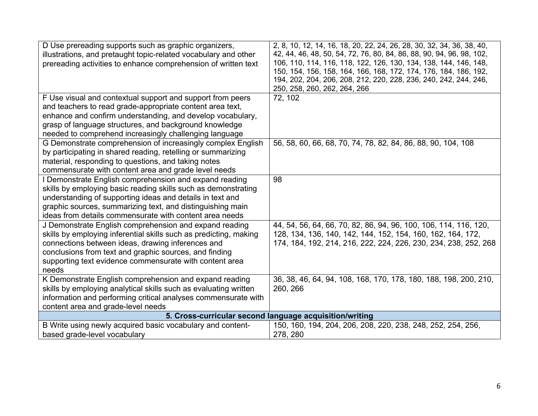| D Use prereading supports such as graphic organizers,<br>illustrations, and pretaught topic-related vocabulary and other<br>prereading activities to enhance comprehension of written text                                                                                                                     | 2, 8, 10, 12, 14, 16, 18, 20, 22, 24, 26, 28, 30, 32, 34, 36, 38, 40,<br>42, 44, 46, 48, 50, 54, 72, 76, 80, 84, 86, 88, 90, 94, 96, 98, 102,<br>106, 110, 114, 116, 118, 122, 126, 130, 134, 138, 144, 146, 148,<br>150, 154, 156, 158, 164, 166, 168, 172, 174, 176, 184, 186, 192,<br>194, 202, 204, 206, 208, 212, 220, 228, 236, 240, 242, 244, 246,<br>250, 258, 260, 262, 264, 266 |
|----------------------------------------------------------------------------------------------------------------------------------------------------------------------------------------------------------------------------------------------------------------------------------------------------------------|-------------------------------------------------------------------------------------------------------------------------------------------------------------------------------------------------------------------------------------------------------------------------------------------------------------------------------------------------------------------------------------------|
| F Use visual and contextual support and support from peers<br>and teachers to read grade-appropriate content area text,<br>enhance and confirm understanding, and develop vocabulary,<br>grasp of language structures, and background knowledge<br>needed to comprehend increasingly challenging language      | 72, 102                                                                                                                                                                                                                                                                                                                                                                                   |
| G Demonstrate comprehension of increasingly complex English<br>by participating in shared reading, retelling or summarizing<br>material, responding to questions, and taking notes<br>commensurate with content area and grade level needs                                                                     | 56, 58, 60, 66, 68, 70, 74, 78, 82, 84, 86, 88, 90, 104, 108                                                                                                                                                                                                                                                                                                                              |
| I Demonstrate English comprehension and expand reading<br>skills by employing basic reading skills such as demonstrating<br>understanding of supporting ideas and details in text and<br>graphic sources, summarizing text, and distinguishing main<br>ideas from details commensurate with content area needs | 98                                                                                                                                                                                                                                                                                                                                                                                        |
| J Demonstrate English comprehension and expand reading<br>skills by employing inferential skills such as predicting, making<br>connections between ideas, drawing inferences and<br>conclusions from text and graphic sources, and finding<br>supporting text evidence commensurate with content area<br>needs | 44, 54, 56, 64, 66, 70, 82, 86, 94, 96, 100, 106, 114, 116, 120,<br>128, 134, 136, 140, 142, 144, 152, 154, 160, 162, 164, 172,<br>174, 184, 192, 214, 216, 222, 224, 226, 230, 234, 238, 252, 268                                                                                                                                                                                        |
| K Demonstrate English comprehension and expand reading<br>skills by employing analytical skills such as evaluating written<br>information and performing critical analyses commensurate with<br>content area and grade-level needs                                                                             | 36, 38, 46, 64, 94, 108, 168, 170, 178, 180, 188, 198, 200, 210,<br>260, 266                                                                                                                                                                                                                                                                                                              |
| 5. Cross-curricular second language acquisition/writing                                                                                                                                                                                                                                                        |                                                                                                                                                                                                                                                                                                                                                                                           |
| B Write using newly acquired basic vocabulary and content-<br>based grade-level vocabulary                                                                                                                                                                                                                     | 150, 160, 194, 204, 206, 208, 220, 238, 248, 252, 254, 256,<br>278, 280                                                                                                                                                                                                                                                                                                                   |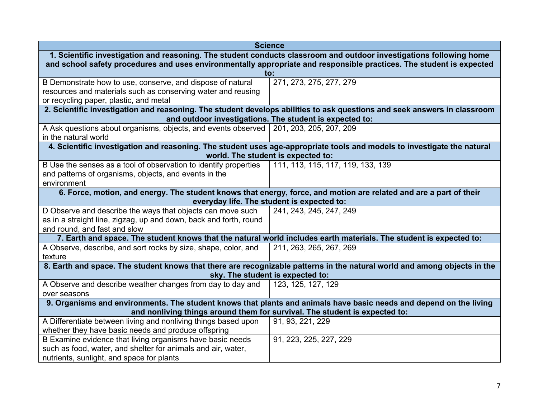|                                                                                                                                                                  | <b>Science</b>                                                                                                           |  |
|------------------------------------------------------------------------------------------------------------------------------------------------------------------|--------------------------------------------------------------------------------------------------------------------------|--|
| 1. Scientific investigation and reasoning. The student conducts classroom and outdoor investigations following home                                              |                                                                                                                          |  |
| and school safety procedures and uses environmentally appropriate and responsible practices. The student is expected                                             |                                                                                                                          |  |
|                                                                                                                                                                  | to:                                                                                                                      |  |
| B Demonstrate how to use, conserve, and dispose of natural                                                                                                       | 271, 273, 275, 277, 279                                                                                                  |  |
| resources and materials such as conserving water and reusing                                                                                                     |                                                                                                                          |  |
| or recycling paper, plastic, and metal                                                                                                                           |                                                                                                                          |  |
|                                                                                                                                                                  | 2. Scientific investigation and reasoning. The student develops abilities to ask questions and seek answers in classroom |  |
|                                                                                                                                                                  | and outdoor investigations. The student is expected to:                                                                  |  |
| A Ask questions about organisms, objects, and events observed                                                                                                    | 201, 203, 205, 207, 209                                                                                                  |  |
| in the natural world                                                                                                                                             |                                                                                                                          |  |
|                                                                                                                                                                  | 4. Scientific investigation and reasoning. The student uses age-appropriate tools and models to investigate the natural  |  |
|                                                                                                                                                                  | world. The student is expected to:                                                                                       |  |
| B Use the senses as a tool of observation to identify properties                                                                                                 | 111, 113, 115, 117, 119, 133, 139                                                                                        |  |
| and patterns of organisms, objects, and events in the                                                                                                            |                                                                                                                          |  |
| environment                                                                                                                                                      |                                                                                                                          |  |
| 6. Force, motion, and energy. The student knows that energy, force, and motion are related and are a part of their<br>everyday life. The student is expected to: |                                                                                                                          |  |
| D Observe and describe the ways that objects can move such                                                                                                       | 241, 243, 245, 247, 249                                                                                                  |  |
| as in a straight line, zigzag, up and down, back and forth, round                                                                                                |                                                                                                                          |  |
| and round, and fast and slow                                                                                                                                     |                                                                                                                          |  |
|                                                                                                                                                                  | 7. Earth and space. The student knows that the natural world includes earth materials. The student is expected to:       |  |
| A Observe, describe, and sort rocks by size, shape, color, and                                                                                                   | 211, 263, 265, 267, 269                                                                                                  |  |
| texture                                                                                                                                                          |                                                                                                                          |  |
| 8. Earth and space. The student knows that there are recognizable patterns in the natural world and among objects in the                                         |                                                                                                                          |  |
| sky. The student is expected to:                                                                                                                                 |                                                                                                                          |  |
| A Observe and describe weather changes from day to day and                                                                                                       | 123, 125, 127, 129                                                                                                       |  |
| over seasons                                                                                                                                                     |                                                                                                                          |  |
| 9. Organisms and environments. The student knows that plants and animals have basic needs and depend on the living                                               |                                                                                                                          |  |
| and nonliving things around them for survival. The student is expected to:                                                                                       |                                                                                                                          |  |
| A Differentiate between living and nonliving things based upon                                                                                                   | 91, 93, 221, 229                                                                                                         |  |
| whether they have basic needs and produce offspring                                                                                                              |                                                                                                                          |  |
| B Examine evidence that living organisms have basic needs                                                                                                        | 91, 223, 225, 227, 229                                                                                                   |  |
| such as food, water, and shelter for animals and air, water,                                                                                                     |                                                                                                                          |  |
| nutrients, sunlight, and space for plants                                                                                                                        |                                                                                                                          |  |